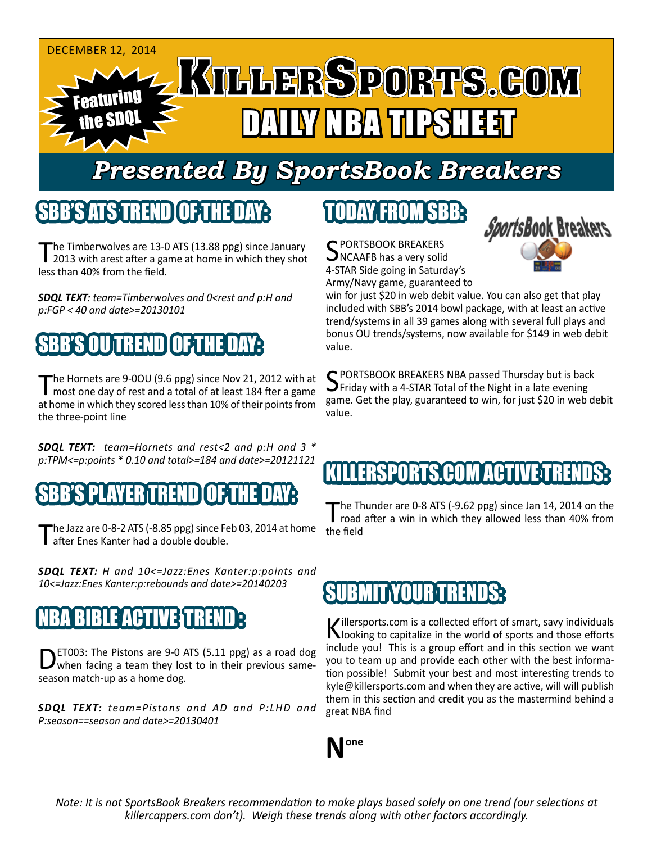

## *Presented By SportsBook Breakers*

#### SBB'S ATS TREN

he Timberwolves are 13-0 ATS (13.88 ppg) since January 2013 with arest after a game at home in which they shot less than 40% from the field.

*SDQL TEXT: team=Timberwolves and 0<rest and p:H and p:FGP < 40 and date>=20130101*

### SBB'S OU TREND OF THE DAY:

The Hornets are 9-0OU (9.6 ppg) since Nov 21, 2012 with at most one day of rest and a total of at least 184 fter a game at home in which they scored less than 10% of their points from the three-point line

*SDQL TEXT: team=Hornets and rest<2 and p:H and 3 \* p:TPM<=p:points \* 0.10 and total>=184 and date>=20121121*

SBB'S PLAYER TREND OF THE DAY:

The Jazz are  $0$ -8-2 ATS (-8.85 ppg) since Feb 03, 2014 at home after Enes Kanter had a double double.

*SDQL TEXT: H and 10<=Jazz:Enes Kanter:p:points and 10<=Jazz:Enes Kanter:p:rebounds and date>=20140203*

#### NBA BIBLE ACTIVE TREND :

DET003: The Pistons are 9-0 ATS (5.11 ppg) as a road dog<br>when facing a team they lost to in their previous sameseason match-up as a home dog.

*SDQL TEXT: team=Pistons and AD and P:LHD and P:season==season and date>=20130401*

## TODAY FROM SBB:

C PORTSBOOK BREAKERS NCAAFB has a very solid 4-STAR Side going in Saturday's Army/Navy game, guaranteed to



win for just \$20 in web debit value. You can also get that play included with SBB's 2014 bowl package, with at least an active trend/systems in all 39 games along with several full plays and bonus OU trends/systems, now available for \$149 in web debit value.

SPORTSBOOK BREAKERS NBA passed Thursday but is back<br>SPFriday with a 4-STAR Total of the Night in a late evening game. Get the play, guaranteed to win, for just \$20 in web debit value.

#### ERSPORTS.COM ACTIVE T

The Thunder are 0-8 ATS (-9.62 ppg) since Jan 14, 2014 on the<br>road after a win in which they allowed less than 40% from the field

#### YOUR TREND

Killersports.com is a collected effort of smart, savy individuals<br>Nooking to capitalize in the world of sports and those efforts include you! This is a group effort and in this section we want you to team up and provide each other with the best information possible! Submit your best and most interesting trends to kyle@killersports.com and when they are active, will will publish them in this section and credit you as the mastermind behind a great NBA find



*Note: It is not SportsBook Breakers recommendation to make plays based solely on one trend (our selections at killercappers.com don't). Weigh these trends along with other factors accordingly.*